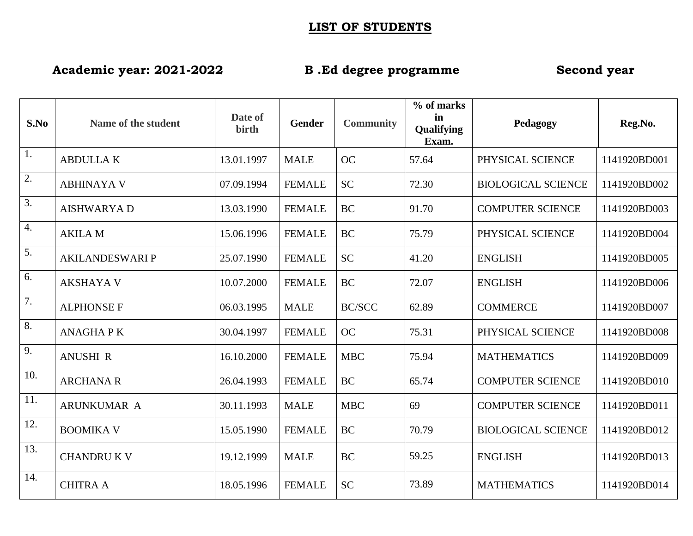## **LIST OF STUDENTS**

**Academic year: 2021-2022 B .Ed degree programme Second year**

| S.No             | Name of the student    | Date of<br>birth | <b>Gender</b> | <b>Community</b> | % of marks<br>in<br>Qualifying<br>Exam. | Pedagogy                  | Reg.No.      |
|------------------|------------------------|------------------|---------------|------------------|-----------------------------------------|---------------------------|--------------|
| $\overline{1}$ . | <b>ABDULLAK</b>        | 13.01.1997       | <b>MALE</b>   | <b>OC</b>        | 57.64                                   | PHYSICAL SCIENCE          | 1141920BD001 |
| $\overline{2}$ . | <b>ABHINAYA V</b>      | 07.09.1994       | <b>FEMALE</b> | <b>SC</b>        | 72.30                                   | <b>BIOLOGICAL SCIENCE</b> | 1141920BD002 |
| 3.               | <b>AISHWARYAD</b>      | 13.03.1990       | <b>FEMALE</b> | <b>BC</b>        | 91.70                                   | <b>COMPUTER SCIENCE</b>   | 1141920BD003 |
| 4.               | <b>AKILA M</b>         | 15.06.1996       | <b>FEMALE</b> | <b>BC</b>        | 75.79                                   | PHYSICAL SCIENCE          | 1141920BD004 |
| 5.               | <b>AKILANDESWARI P</b> | 25.07.1990       | <b>FEMALE</b> | <b>SC</b>        | 41.20                                   | <b>ENGLISH</b>            | 1141920BD005 |
| 6.               | <b>AKSHAYA V</b>       | 10.07.2000       | <b>FEMALE</b> | <b>BC</b>        | 72.07                                   | <b>ENGLISH</b>            | 1141920BD006 |
| 7.               | <b>ALPHONSE F</b>      | 06.03.1995       | <b>MALE</b>   | <b>BC/SCC</b>    | 62.89                                   | <b>COMMERCE</b>           | 1141920BD007 |
| 8.               | <b>ANAGHAPK</b>        | 30.04.1997       | <b>FEMALE</b> | <b>OC</b>        | 75.31                                   | PHYSICAL SCIENCE          | 1141920BD008 |
| 9.               | <b>ANUSHI R</b>        | 16.10.2000       | <b>FEMALE</b> | <b>MBC</b>       | 75.94                                   | <b>MATHEMATICS</b>        | 1141920BD009 |
| 10.              | <b>ARCHANA R</b>       | 26.04.1993       | <b>FEMALE</b> | <b>BC</b>        | 65.74                                   | <b>COMPUTER SCIENCE</b>   | 1141920BD010 |
| 11.              | ARUNKUMAR A            | 30.11.1993       | <b>MALE</b>   | <b>MBC</b>       | 69                                      | <b>COMPUTER SCIENCE</b>   | 1141920BD011 |
| 12.              | <b>BOOMIKA V</b>       | 15.05.1990       | <b>FEMALE</b> | <b>BC</b>        | 70.79                                   | <b>BIOLOGICAL SCIENCE</b> | 1141920BD012 |
| 13.              | <b>CHANDRU K V</b>     | 19.12.1999       | <b>MALE</b>   | <b>BC</b>        | 59.25                                   | <b>ENGLISH</b>            | 1141920BD013 |
| 14.              | <b>CHITRA A</b>        | 18.05.1996       | <b>FEMALE</b> | <b>SC</b>        | 73.89                                   | <b>MATHEMATICS</b>        | 1141920BD014 |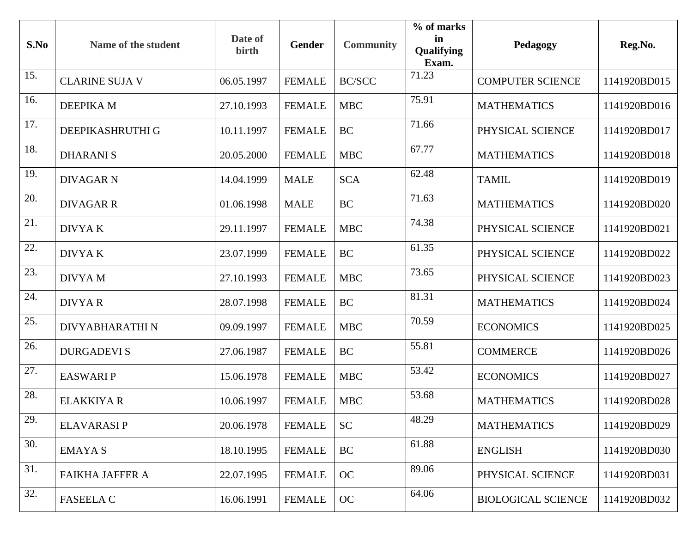| S.No | Name of the student    | Date of<br>birth | <b>Gender</b> | <b>Community</b> | % of marks<br>in<br><b>Qualifying</b><br>Exam. | Pedagogy                  | Reg.No.      |
|------|------------------------|------------------|---------------|------------------|------------------------------------------------|---------------------------|--------------|
| 15.  | <b>CLARINE SUJA V</b>  | 06.05.1997       | <b>FEMALE</b> | <b>BC/SCC</b>    | 71.23                                          | <b>COMPUTER SCIENCE</b>   | 1141920BD015 |
| 16.  | DEEPIKA M              | 27.10.1993       | <b>FEMALE</b> | <b>MBC</b>       | 75.91                                          | <b>MATHEMATICS</b>        | 1141920BD016 |
| 17.  | DEEPIKASHRUTHI G       | 10.11.1997       | <b>FEMALE</b> | BC               | 71.66                                          | PHYSICAL SCIENCE          | 1141920BD017 |
| 18.  | <b>DHARANIS</b>        | 20.05.2000       | <b>FEMALE</b> | <b>MBC</b>       | 67.77                                          | <b>MATHEMATICS</b>        | 1141920BD018 |
| 19.  | <b>DIVAGAR N</b>       | 14.04.1999       | <b>MALE</b>   | <b>SCA</b>       | 62.48                                          | <b>TAMIL</b>              | 1141920BD019 |
| 20.  | <b>DIVAGAR R</b>       | 01.06.1998       | <b>MALE</b>   | <b>BC</b>        | 71.63                                          | <b>MATHEMATICS</b>        | 1141920BD020 |
| 21.  | <b>DIVYAK</b>          | 29.11.1997       | <b>FEMALE</b> | <b>MBC</b>       | 74.38                                          | PHYSICAL SCIENCE          | 1141920BD021 |
| 22.  | <b>DIVYAK</b>          | 23.07.1999       | <b>FEMALE</b> | BC               | 61.35                                          | PHYSICAL SCIENCE          | 1141920BD022 |
| 23.  | <b>DIVYAM</b>          | 27.10.1993       | <b>FEMALE</b> | <b>MBC</b>       | 73.65                                          | PHYSICAL SCIENCE          | 1141920BD023 |
| 24.  | <b>DIVYAR</b>          | 28.07.1998       | <b>FEMALE</b> | <b>BC</b>        | 81.31                                          | <b>MATHEMATICS</b>        | 1141920BD024 |
| 25.  | DIVYABHARATHI N        | 09.09.1997       | <b>FEMALE</b> | <b>MBC</b>       | 70.59                                          | <b>ECONOMICS</b>          | 1141920BD025 |
| 26.  | <b>DURGADEVIS</b>      | 27.06.1987       | <b>FEMALE</b> | BC               | 55.81                                          | <b>COMMERCE</b>           | 1141920BD026 |
| 27.  | <b>EASWARIP</b>        | 15.06.1978       | <b>FEMALE</b> | <b>MBC</b>       | 53.42                                          | <b>ECONOMICS</b>          | 1141920BD027 |
| 28.  | <b>ELAKKIYA R</b>      | 10.06.1997       | <b>FEMALE</b> | <b>MBC</b>       | 53.68                                          | <b>MATHEMATICS</b>        | 1141920BD028 |
| 29.  | <b>ELAVARASIP</b>      | 20.06.1978       | <b>FEMALE</b> | <b>SC</b>        | 48.29                                          | <b>MATHEMATICS</b>        | 1141920BD029 |
| 30.  | <b>EMAYAS</b>          | 18.10.1995       | <b>FEMALE</b> | <b>BC</b>        | 61.88                                          | <b>ENGLISH</b>            | 1141920BD030 |
| 31.  | <b>FAIKHA JAFFER A</b> | 22.07.1995       | <b>FEMALE</b> | OC               | 89.06                                          | PHYSICAL SCIENCE          | 1141920BD031 |
| 32.  | <b>FASEELA C</b>       | 16.06.1991       | <b>FEMALE</b> | OC               | 64.06                                          | <b>BIOLOGICAL SCIENCE</b> | 1141920BD032 |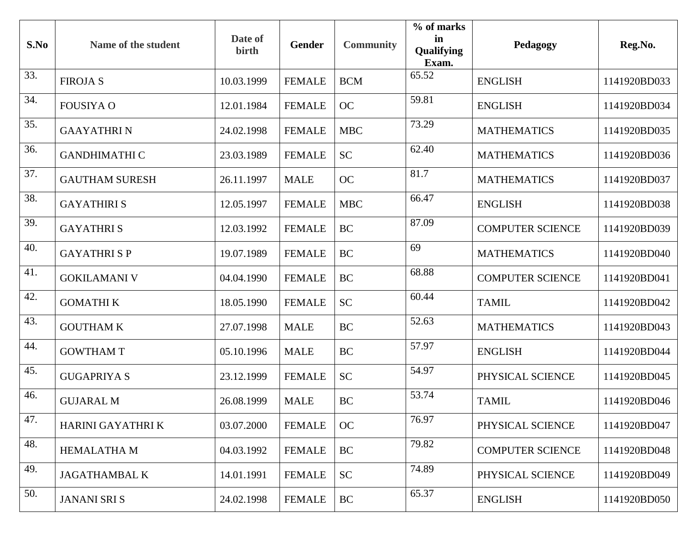| S.No | Name of the student   | Date of<br>birth | <b>Gender</b> | <b>Community</b> | % of marks<br>in<br><b>Qualifying</b><br>Exam. | Pedagogy                | Reg.No.      |
|------|-----------------------|------------------|---------------|------------------|------------------------------------------------|-------------------------|--------------|
| 33.  | <b>FIROJAS</b>        | 10.03.1999       | <b>FEMALE</b> | <b>BCM</b>       | 65.52                                          | <b>ENGLISH</b>          | 1141920BD033 |
| 34.  | <b>FOUSIYA O</b>      | 12.01.1984       | <b>FEMALE</b> | OC               | 59.81                                          | <b>ENGLISH</b>          | 1141920BD034 |
| 35.  | <b>GAAYATHRIN</b>     | 24.02.1998       | <b>FEMALE</b> | <b>MBC</b>       | 73.29                                          | <b>MATHEMATICS</b>      | 1141920BD035 |
| 36.  | <b>GANDHIMATHI C</b>  | 23.03.1989       | <b>FEMALE</b> | <b>SC</b>        | 62.40                                          | <b>MATHEMATICS</b>      | 1141920BD036 |
| 37.  | <b>GAUTHAM SURESH</b> | 26.11.1997       | <b>MALE</b>   | OC               | 81.7                                           | <b>MATHEMATICS</b>      | 1141920BD037 |
| 38.  | <b>GAYATHIRIS</b>     | 12.05.1997       | <b>FEMALE</b> | <b>MBC</b>       | 66.47                                          | <b>ENGLISH</b>          | 1141920BD038 |
| 39.  | <b>GAYATHRIS</b>      | 12.03.1992       | <b>FEMALE</b> | BC               | 87.09                                          | <b>COMPUTER SCIENCE</b> | 1141920BD039 |
| 40.  | <b>GAYATHRISP</b>     | 19.07.1989       | <b>FEMALE</b> | BC               | 69                                             | <b>MATHEMATICS</b>      | 1141920BD040 |
| 41.  | <b>GOKILAMANI V</b>   | 04.04.1990       | <b>FEMALE</b> | <b>BC</b>        | 68.88                                          | <b>COMPUTER SCIENCE</b> | 1141920BD041 |
| 42.  | <b>GOMATHI K</b>      | 18.05.1990       | <b>FEMALE</b> | <b>SC</b>        | 60.44                                          | <b>TAMIL</b>            | 1141920BD042 |
| 43.  | <b>GOUTHAM K</b>      | 27.07.1998       | <b>MALE</b>   | BC               | 52.63                                          | <b>MATHEMATICS</b>      | 1141920BD043 |
| 44.  | <b>GOWTHAM T</b>      | 05.10.1996       | <b>MALE</b>   | BC               | 57.97                                          | <b>ENGLISH</b>          | 1141920BD044 |
| 45.  | <b>GUGAPRIYA S</b>    | 23.12.1999       | <b>FEMALE</b> | <b>SC</b>        | 54.97                                          | PHYSICAL SCIENCE        | 1141920BD045 |
| 46.  | <b>GUJARAL M</b>      | 26.08.1999       | <b>MALE</b>   | BC               | 53.74                                          | <b>TAMIL</b>            | 1141920BD046 |
| 47.  | HARINI GAYATHRI K     | 03.07.2000       | <b>FEMALE</b> | OC               | 76.97                                          | PHYSICAL SCIENCE        | 1141920BD047 |
| 48.  | <b>HEMALATHA M</b>    | 04.03.1992       | <b>FEMALE</b> | <b>BC</b>        | 79.82                                          | <b>COMPUTER SCIENCE</b> | 1141920BD048 |
| 49.  | <b>JAGATHAMBAL K</b>  | 14.01.1991       | <b>FEMALE</b> | SC               | 74.89                                          | PHYSICAL SCIENCE        | 1141920BD049 |
| 50.  | <b>JANANI SRI S</b>   | 24.02.1998       | <b>FEMALE</b> | <b>BC</b>        | 65.37                                          | <b>ENGLISH</b>          | 1141920BD050 |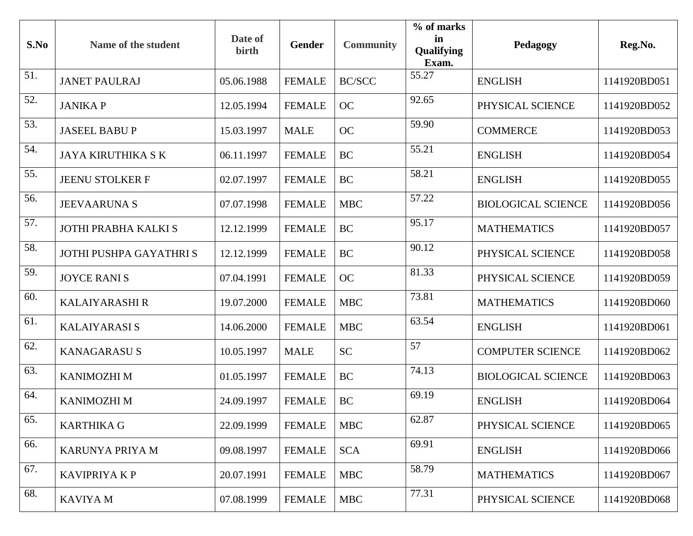| S.No | Name of the student       | Date of<br>birth | <b>Gender</b> | <b>Community</b> | % of marks<br>in<br><b>Qualifying</b><br>Exam. | Pedagogy                  | Reg.No.      |
|------|---------------------------|------------------|---------------|------------------|------------------------------------------------|---------------------------|--------------|
| 51.  | <b>JANET PAULRAJ</b>      | 05.06.1988       | <b>FEMALE</b> | <b>BC/SCC</b>    | 55.27                                          | <b>ENGLISH</b>            | 1141920BD051 |
| 52.  | <b>JANIKAP</b>            | 12.05.1994       | <b>FEMALE</b> | <b>OC</b>        | 92.65                                          | PHYSICAL SCIENCE          | 1141920BD052 |
| 53.  | <b>JASEEL BABU P</b>      | 15.03.1997       | <b>MALE</b>   | <b>OC</b>        | 59.90                                          | <b>COMMERCE</b>           | 1141920BD053 |
| 54.  | <b>JAYA KIRUTHIKA S K</b> | 06.11.1997       | <b>FEMALE</b> | BC               | 55.21                                          | <b>ENGLISH</b>            | 1141920BD054 |
| 55.  | <b>JEENU STOLKER F</b>    | 02.07.1997       | <b>FEMALE</b> | BC               | 58.21                                          | <b>ENGLISH</b>            | 1141920BD055 |
| 56.  | <b>JEEVAARUNA S</b>       | 07.07.1998       | <b>FEMALE</b> | <b>MBC</b>       | 57.22                                          | <b>BIOLOGICAL SCIENCE</b> | 1141920BD056 |
| 57.  | JOTHI PRABHA KALKI S      | 12.12.1999       | <b>FEMALE</b> | BC               | 95.17                                          | <b>MATHEMATICS</b>        | 1141920BD057 |
| 58.  | JOTHI PUSHPA GAYATHRI S   | 12.12.1999       | <b>FEMALE</b> | BC               | 90.12                                          | PHYSICAL SCIENCE          | 1141920BD058 |
| 59.  | <b>JOYCE RANIS</b>        | 07.04.1991       | <b>FEMALE</b> | OC               | 81.33                                          | PHYSICAL SCIENCE          | 1141920BD059 |
| 60.  | <b>KALAIYARASHI R</b>     | 19.07.2000       | <b>FEMALE</b> | <b>MBC</b>       | 73.81                                          | <b>MATHEMATICS</b>        | 1141920BD060 |
| 61.  | <b>KALAIYARASI S</b>      | 14.06.2000       | <b>FEMALE</b> | <b>MBC</b>       | 63.54                                          | <b>ENGLISH</b>            | 1141920BD061 |
| 62.  | <b>KANAGARASUS</b>        | 10.05.1997       | <b>MALE</b>   | <b>SC</b>        | 57                                             | <b>COMPUTER SCIENCE</b>   | 1141920BD062 |
| 63.  | <b>KANIMOZHI M</b>        | 01.05.1997       | <b>FEMALE</b> | <b>BC</b>        | 74.13                                          | <b>BIOLOGICAL SCIENCE</b> | 1141920BD063 |
| 64.  | <b>KANIMOZHI M</b>        | 24.09.1997       | <b>FEMALE</b> | BC               | 69.19                                          | <b>ENGLISH</b>            | 1141920BD064 |
| 65.  | <b>KARTHIKA G</b>         | 22.09.1999       | <b>FEMALE</b> | <b>MBC</b>       | 62.87                                          | PHYSICAL SCIENCE          | 1141920BD065 |
| 66.  | KARUNYA PRIYA M           | 09.08.1997       | <b>FEMALE</b> | <b>SCA</b>       | 69.91                                          | <b>ENGLISH</b>            | 1141920BD066 |
| 67.  | <b>KAVIPRIYAKP</b>        | 20.07.1991       | <b>FEMALE</b> | <b>MBC</b>       | 58.79                                          | <b>MATHEMATICS</b>        | 1141920BD067 |
| 68.  | <b>KAVIYA M</b>           | 07.08.1999       | <b>FEMALE</b> | <b>MBC</b>       | 77.31                                          | PHYSICAL SCIENCE          | 1141920BD068 |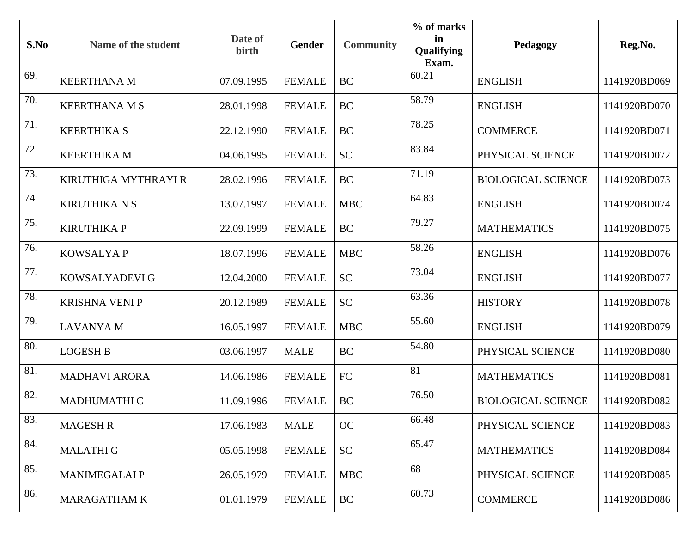| S.No | Name of the student   | Date of<br>birth | <b>Gender</b> | <b>Community</b> | % of marks<br>in<br><b>Qualifying</b><br>Exam. | Pedagogy                  | Reg.No.      |
|------|-----------------------|------------------|---------------|------------------|------------------------------------------------|---------------------------|--------------|
| 69.  | <b>KEERTHANA M</b>    | 07.09.1995       | <b>FEMALE</b> | <b>BC</b>        | 60.21                                          | <b>ENGLISH</b>            | 1141920BD069 |
| 70.  | <b>KEERTHANA M S</b>  | 28.01.1998       | <b>FEMALE</b> | BC               | 58.79                                          | <b>ENGLISH</b>            | 1141920BD070 |
| 71.  | <b>KEERTHIKA S</b>    | 22.12.1990       | <b>FEMALE</b> | BC               | 78.25                                          | <b>COMMERCE</b>           | 1141920BD071 |
| 72.  | <b>KEERTHIKA M</b>    | 04.06.1995       | <b>FEMALE</b> | <b>SC</b>        | 83.84                                          | PHYSICAL SCIENCE          | 1141920BD072 |
| 73.  | KIRUTHIGA MYTHRAYI R  | 28.02.1996       | <b>FEMALE</b> | BC               | 71.19                                          | <b>BIOLOGICAL SCIENCE</b> | 1141920BD073 |
| 74.  | <b>KIRUTHIKA N S</b>  | 13.07.1997       | <b>FEMALE</b> | <b>MBC</b>       | 64.83                                          | <b>ENGLISH</b>            | 1141920BD074 |
| 75.  | <b>KIRUTHIKA P</b>    | 22.09.1999       | <b>FEMALE</b> | BC               | 79.27                                          | <b>MATHEMATICS</b>        | 1141920BD075 |
| 76.  | <b>KOWSALYAP</b>      | 18.07.1996       | <b>FEMALE</b> | <b>MBC</b>       | 58.26                                          | <b>ENGLISH</b>            | 1141920BD076 |
| 77.  | KOWSALYADEVI G        | 12.04.2000       | <b>FEMALE</b> | <b>SC</b>        | 73.04                                          | <b>ENGLISH</b>            | 1141920BD077 |
| 78.  | <b>KRISHNA VENI P</b> | 20.12.1989       | <b>FEMALE</b> | <b>SC</b>        | 63.36                                          | <b>HISTORY</b>            | 1141920BD078 |
| 79.  | <b>LAVANYA M</b>      | 16.05.1997       | <b>FEMALE</b> | <b>MBC</b>       | 55.60                                          | <b>ENGLISH</b>            | 1141920BD079 |
| 80.  | <b>LOGESH B</b>       | 03.06.1997       | <b>MALE</b>   | BC               | 54.80                                          | PHYSICAL SCIENCE          | 1141920BD080 |
| 81.  | <b>MADHAVI ARORA</b>  | 14.06.1986       | <b>FEMALE</b> | ${\rm FC}$       | 81                                             | <b>MATHEMATICS</b>        | 1141920BD081 |
| 82.  | <b>MADHUMATHI C</b>   | 11.09.1996       | <b>FEMALE</b> | BC               | 76.50                                          | <b>BIOLOGICAL SCIENCE</b> | 1141920BD082 |
| 83.  | <b>MAGESH R</b>       | 17.06.1983       | <b>MALE</b>   | OC               | 66.48                                          | PHYSICAL SCIENCE          | 1141920BD083 |
| 84.  | <b>MALATHI G</b>      | 05.05.1998       | <b>FEMALE</b> | <b>SC</b>        | 65.47                                          | <b>MATHEMATICS</b>        | 1141920BD084 |
| 85.  | <b>MANIMEGALAIP</b>   | 26.05.1979       | <b>FEMALE</b> | <b>MBC</b>       | 68                                             | PHYSICAL SCIENCE          | 1141920BD085 |
| 86.  | <b>MARAGATHAM K</b>   | 01.01.1979       | <b>FEMALE</b> | <b>BC</b>        | 60.73                                          | <b>COMMERCE</b>           | 1141920BD086 |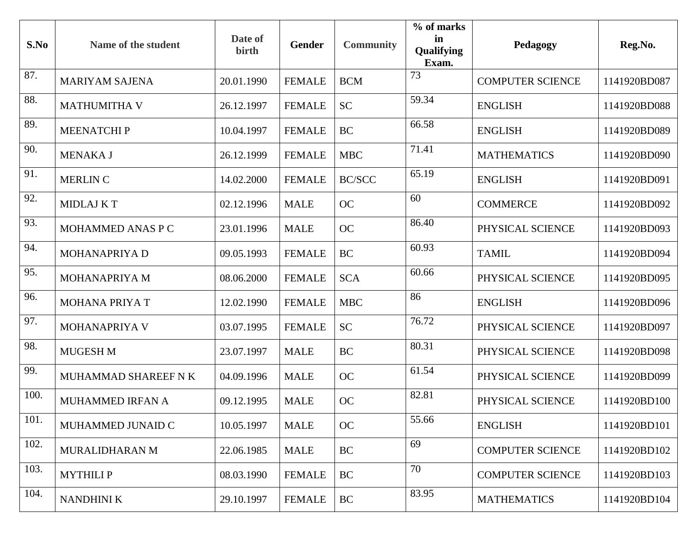| S.No | Name of the student   | Date of<br>birth | <b>Gender</b> | <b>Community</b> | % of marks<br>in<br><b>Qualifying</b><br>Exam. | Pedagogy                | Reg.No.      |
|------|-----------------------|------------------|---------------|------------------|------------------------------------------------|-------------------------|--------------|
| 87.  | <b>MARIYAM SAJENA</b> | 20.01.1990       | <b>FEMALE</b> | <b>BCM</b>       | 73                                             | <b>COMPUTER SCIENCE</b> | 1141920BD087 |
| 88.  | <b>MATHUMITHA V</b>   | 26.12.1997       | <b>FEMALE</b> | <b>SC</b>        | 59.34                                          | <b>ENGLISH</b>          | 1141920BD088 |
| 89.  | <b>MEENATCHIP</b>     | 10.04.1997       | <b>FEMALE</b> | BC               | 66.58                                          | <b>ENGLISH</b>          | 1141920BD089 |
| 90.  | <b>MENAKA J</b>       | 26.12.1999       | <b>FEMALE</b> | <b>MBC</b>       | 71.41                                          | <b>MATHEMATICS</b>      | 1141920BD090 |
| 91.  | <b>MERLIN C</b>       | 14.02.2000       | <b>FEMALE</b> | <b>BC/SCC</b>    | 65.19                                          | <b>ENGLISH</b>          | 1141920BD091 |
| 92.  | <b>MIDLAJ KT</b>      | 02.12.1996       | <b>MALE</b>   | <b>OC</b>        | 60                                             | <b>COMMERCE</b>         | 1141920BD092 |
| 93.  | MOHAMMED ANAS P C     | 23.01.1996       | <b>MALE</b>   | <b>OC</b>        | 86.40                                          | PHYSICAL SCIENCE        | 1141920BD093 |
| 94.  | MOHANAPRIYA D         | 09.05.1993       | <b>FEMALE</b> | BC               | 60.93                                          | <b>TAMIL</b>            | 1141920BD094 |
| 95.  | MOHANAPRIYA M         | 08.06.2000       | <b>FEMALE</b> | <b>SCA</b>       | 60.66                                          | PHYSICAL SCIENCE        | 1141920BD095 |
| 96.  | <b>MOHANA PRIYA T</b> | 12.02.1990       | <b>FEMALE</b> | <b>MBC</b>       | 86                                             | <b>ENGLISH</b>          | 1141920BD096 |
| 97.  | MOHANAPRIYA V         | 03.07.1995       | <b>FEMALE</b> | <b>SC</b>        | 76.72                                          | PHYSICAL SCIENCE        | 1141920BD097 |
| 98.  | MUGESH M              | 23.07.1997       | <b>MALE</b>   | BC               | 80.31                                          | PHYSICAL SCIENCE        | 1141920BD098 |
| 99.  | MUHAMMAD SHAREEF N K  | 04.09.1996       | <b>MALE</b>   | OC               | 61.54                                          | PHYSICAL SCIENCE        | 1141920BD099 |
| 100. | MUHAMMED IRFAN A      | 09.12.1995       | <b>MALE</b>   | <b>OC</b>        | 82.81                                          | PHYSICAL SCIENCE        | 1141920BD100 |
| 101. | MUHAMMED JUNAID C     | 10.05.1997       | <b>MALE</b>   | OC               | 55.66                                          | <b>ENGLISH</b>          | 1141920BD101 |
| 102. | MURALIDHARAN M        | 22.06.1985       | <b>MALE</b>   | <b>BC</b>        | 69                                             | <b>COMPUTER SCIENCE</b> | 1141920BD102 |
| 103. | <b>MYTHILIP</b>       | 08.03.1990       | <b>FEMALE</b> | <b>BC</b>        | 70                                             | <b>COMPUTER SCIENCE</b> | 1141920BD103 |
| 104. | <b>NANDHINI K</b>     | 29.10.1997       | <b>FEMALE</b> | <b>BC</b>        | 83.95                                          | <b>MATHEMATICS</b>      | 1141920BD104 |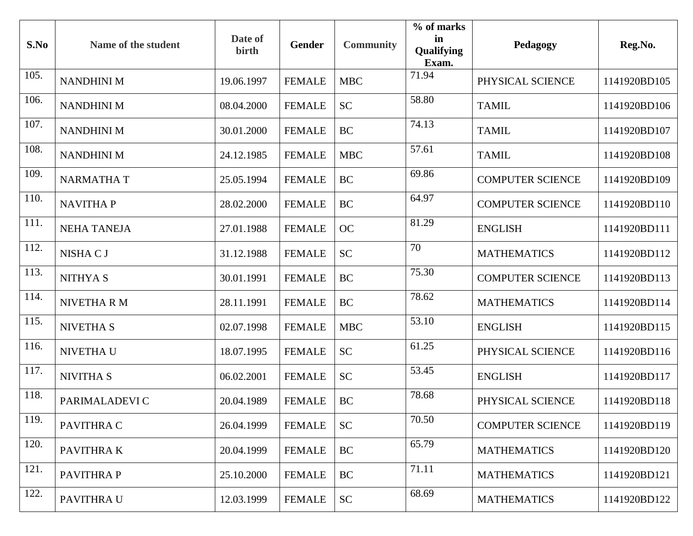| S.No | Name of the student | Date of<br>birth | <b>Gender</b> | <b>Community</b> | % of marks<br>in<br>Qualifying<br>Exam. | Pedagogy                | Reg.No.      |
|------|---------------------|------------------|---------------|------------------|-----------------------------------------|-------------------------|--------------|
| 105. | <b>NANDHINI M</b>   | 19.06.1997       | <b>FEMALE</b> | <b>MBC</b>       | 71.94                                   | PHYSICAL SCIENCE        | 1141920BD105 |
| 106. | <b>NANDHINI M</b>   | 08.04.2000       | <b>FEMALE</b> | <b>SC</b>        | 58.80                                   | <b>TAMIL</b>            | 1141920BD106 |
| 107. | <b>NANDHINI M</b>   | 30.01.2000       | <b>FEMALE</b> | <b>BC</b>        | 74.13                                   | <b>TAMIL</b>            | 1141920BD107 |
| 108. | <b>NANDHINI M</b>   | 24.12.1985       | <b>FEMALE</b> | <b>MBC</b>       | 57.61                                   | <b>TAMIL</b>            | 1141920BD108 |
| 109. | <b>NARMATHAT</b>    | 25.05.1994       | <b>FEMALE</b> | <b>BC</b>        | 69.86                                   | <b>COMPUTER SCIENCE</b> | 1141920BD109 |
| 110. | <b>NAVITHAP</b>     | 28.02.2000       | <b>FEMALE</b> | <b>BC</b>        | 64.97                                   | <b>COMPUTER SCIENCE</b> | 1141920BD110 |
| 111. | <b>NEHA TANEJA</b>  | 27.01.1988       | <b>FEMALE</b> | <b>OC</b>        | 81.29                                   | <b>ENGLISH</b>          | 1141920BD111 |
| 112. | NISHA C J           | 31.12.1988       | <b>FEMALE</b> | <b>SC</b>        | 70                                      | <b>MATHEMATICS</b>      | 1141920BD112 |
| 113. | <b>NITHYAS</b>      | 30.01.1991       | <b>FEMALE</b> | <b>BC</b>        | 75.30                                   | <b>COMPUTER SCIENCE</b> | 1141920BD113 |
| 114. | NIVETHA R M         | 28.11.1991       | <b>FEMALE</b> | <b>BC</b>        | 78.62                                   | <b>MATHEMATICS</b>      | 1141920BD114 |
| 115. | <b>NIVETHA S</b>    | 02.07.1998       | <b>FEMALE</b> | <b>MBC</b>       | 53.10                                   | <b>ENGLISH</b>          | 1141920BD115 |
| 116. | NIVETHA U           | 18.07.1995       | <b>FEMALE</b> | <b>SC</b>        | 61.25                                   | PHYSICAL SCIENCE        | 1141920BD116 |
| 117. | <b>NIVITHA S</b>    | 06.02.2001       | <b>FEMALE</b> | <b>SC</b>        | 53.45                                   | <b>ENGLISH</b>          | 1141920BD117 |
| 118. | PARIMALADEVI C      | 20.04.1989       | <b>FEMALE</b> | <b>BC</b>        | 78.68                                   | PHYSICAL SCIENCE        | 1141920BD118 |
| 119. | PAVITHRA C          | 26.04.1999       | <b>FEMALE</b> | <b>SC</b>        | 70.50                                   | <b>COMPUTER SCIENCE</b> | 1141920BD119 |
| 120. | PAVITHRA K          | 20.04.1999       | <b>FEMALE</b> | <b>BC</b>        | 65.79                                   | <b>MATHEMATICS</b>      | 1141920BD120 |
| 121. | <b>PAVITHRAP</b>    | 25.10.2000       | <b>FEMALE</b> | <b>BC</b>        | 71.11                                   | <b>MATHEMATICS</b>      | 1141920BD121 |
| 122. | PAVITHRA U          | 12.03.1999       | <b>FEMALE</b> | <b>SC</b>        | 68.69                                   | <b>MATHEMATICS</b>      | 1141920BD122 |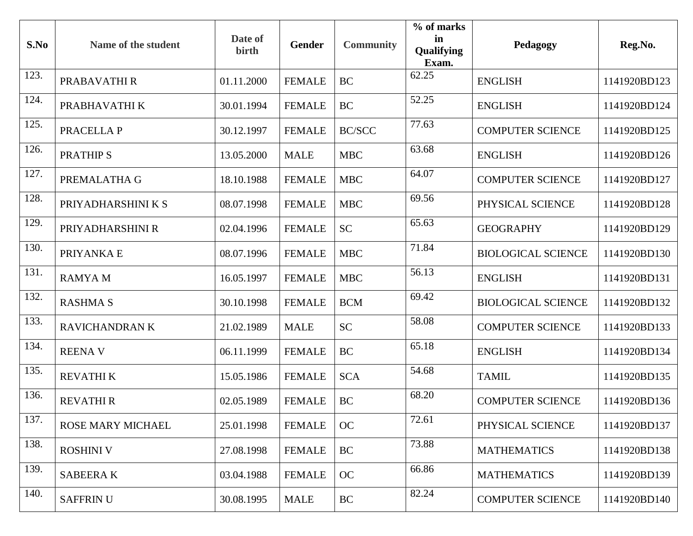| S.No | Name of the student | Date of<br>birth | <b>Gender</b> | <b>Community</b> | % of marks<br>in<br><b>Qualifying</b><br>Exam. | Pedagogy                  | Reg.No.      |
|------|---------------------|------------------|---------------|------------------|------------------------------------------------|---------------------------|--------------|
| 123. | PRABAVATHI R        | 01.11.2000       | <b>FEMALE</b> | <b>BC</b>        | 62.25                                          | <b>ENGLISH</b>            | 1141920BD123 |
| 124. | PRABHAVATHI K       | 30.01.1994       | <b>FEMALE</b> | <b>BC</b>        | 52.25                                          | <b>ENGLISH</b>            | 1141920BD124 |
| 125. | PRACELLA P          | 30.12.1997       | <b>FEMALE</b> | <b>BC/SCC</b>    | 77.63                                          | <b>COMPUTER SCIENCE</b>   | 1141920BD125 |
| 126. | <b>PRATHIPS</b>     | 13.05.2000       | <b>MALE</b>   | <b>MBC</b>       | 63.68                                          | <b>ENGLISH</b>            | 1141920BD126 |
| 127. | PREMALATHA G        | 18.10.1988       | <b>FEMALE</b> | <b>MBC</b>       | 64.07                                          | <b>COMPUTER SCIENCE</b>   | 1141920BD127 |
| 128. | PRIYADHARSHINI K S  | 08.07.1998       | <b>FEMALE</b> | <b>MBC</b>       | 69.56                                          | PHYSICAL SCIENCE          | 1141920BD128 |
| 129. | PRIYADHARSHINI R    | 02.04.1996       | <b>FEMALE</b> | <b>SC</b>        | 65.63                                          | <b>GEOGRAPHY</b>          | 1141920BD129 |
| 130. | PRIYANKA E          | 08.07.1996       | <b>FEMALE</b> | <b>MBC</b>       | 71.84                                          | <b>BIOLOGICAL SCIENCE</b> | 1141920BD130 |
| 131. | <b>RAMYAM</b>       | 16.05.1997       | <b>FEMALE</b> | <b>MBC</b>       | 56.13                                          | <b>ENGLISH</b>            | 1141920BD131 |
| 132. | <b>RASHMA S</b>     | 30.10.1998       | <b>FEMALE</b> | <b>BCM</b>       | 69.42                                          | <b>BIOLOGICAL SCIENCE</b> | 1141920BD132 |
| 133. | RAVICHANDRAN K      | 21.02.1989       | <b>MALE</b>   | <b>SC</b>        | 58.08                                          | <b>COMPUTER SCIENCE</b>   | 1141920BD133 |
| 134. | <b>REENAV</b>       | 06.11.1999       | <b>FEMALE</b> | BC               | 65.18                                          | <b>ENGLISH</b>            | 1141920BD134 |
| 135. | <b>REVATHIK</b>     | 15.05.1986       | <b>FEMALE</b> | <b>SCA</b>       | 54.68                                          | <b>TAMIL</b>              | 1141920BD135 |
| 136. | <b>REVATHIR</b>     | 02.05.1989       | <b>FEMALE</b> | <b>BC</b>        | 68.20                                          | <b>COMPUTER SCIENCE</b>   | 1141920BD136 |
| 137. | ROSE MARY MICHAEL   | 25.01.1998       | <b>FEMALE</b> | OC               | 72.61                                          | PHYSICAL SCIENCE          | 1141920BD137 |
| 138. | <b>ROSHINI V</b>    | 27.08.1998       | <b>FEMALE</b> | <b>BC</b>        | 73.88                                          | <b>MATHEMATICS</b>        | 1141920BD138 |
| 139. | <b>SABEERAK</b>     | 03.04.1988       | <b>FEMALE</b> | OC               | 66.86                                          | <b>MATHEMATICS</b>        | 1141920BD139 |
| 140. | <b>SAFFRINU</b>     | 30.08.1995       | <b>MALE</b>   | <b>BC</b>        | 82.24                                          | <b>COMPUTER SCIENCE</b>   | 1141920BD140 |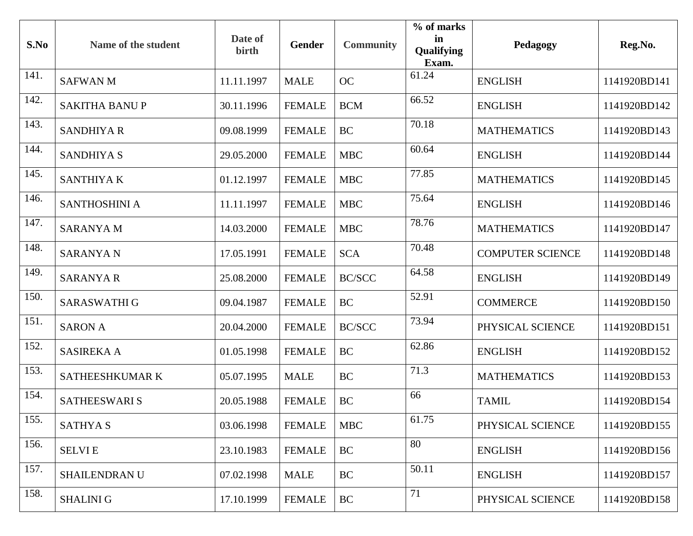| S.No | Name of the student  | Date of<br>birth | <b>Gender</b> | <b>Community</b> | % of marks<br>in<br><b>Qualifying</b><br>Exam. | Pedagogy                | Reg.No.      |
|------|----------------------|------------------|---------------|------------------|------------------------------------------------|-------------------------|--------------|
| 141. | <b>SAFWANM</b>       | 11.11.1997       | <b>MALE</b>   | OC               | 61.24                                          | <b>ENGLISH</b>          | 1141920BD141 |
| 142. | <b>SAKITHA BANUP</b> | 30.11.1996       | <b>FEMALE</b> | <b>BCM</b>       | 66.52                                          | <b>ENGLISH</b>          | 1141920BD142 |
| 143. | <b>SANDHIYA R</b>    | 09.08.1999       | <b>FEMALE</b> | <b>BC</b>        | 70.18                                          | <b>MATHEMATICS</b>      | 1141920BD143 |
| 144. | <b>SANDHIYA S</b>    | 29.05.2000       | <b>FEMALE</b> | <b>MBC</b>       | 60.64                                          | <b>ENGLISH</b>          | 1141920BD144 |
| 145. | SANTHIYA K           | 01.12.1997       | <b>FEMALE</b> | <b>MBC</b>       | 77.85                                          | <b>MATHEMATICS</b>      | 1141920BD145 |
| 146. | SANTHOSHINI A        | 11.11.1997       | <b>FEMALE</b> | <b>MBC</b>       | 75.64                                          | <b>ENGLISH</b>          | 1141920BD146 |
| 147. | <b>SARANYAM</b>      | 14.03.2000       | <b>FEMALE</b> | <b>MBC</b>       | 78.76                                          | <b>MATHEMATICS</b>      | 1141920BD147 |
| 148. | <b>SARANYA N</b>     | 17.05.1991       | <b>FEMALE</b> | <b>SCA</b>       | 70.48                                          | <b>COMPUTER SCIENCE</b> | 1141920BD148 |
| 149. | <b>SARANYA R</b>     | 25.08.2000       | <b>FEMALE</b> | <b>BC/SCC</b>    | 64.58                                          | <b>ENGLISH</b>          | 1141920BD149 |
| 150. | SARASWATHI G         | 09.04.1987       | <b>FEMALE</b> | <b>BC</b>        | 52.91                                          | <b>COMMERCE</b>         | 1141920BD150 |
| 151. | <b>SARON A</b>       | 20.04.2000       | <b>FEMALE</b> | <b>BC/SCC</b>    | 73.94                                          | PHYSICAL SCIENCE        | 1141920BD151 |
| 152. | <b>SASIREKA A</b>    | 01.05.1998       | <b>FEMALE</b> | <b>BC</b>        | 62.86                                          | <b>ENGLISH</b>          | 1141920BD152 |
| 153. | SATHEESHKUMAR K      | 05.07.1995       | <b>MALE</b>   | <b>BC</b>        | 71.3                                           | <b>MATHEMATICS</b>      | 1141920BD153 |
| 154. | <b>SATHEESWARI S</b> | 20.05.1988       | <b>FEMALE</b> | <b>BC</b>        | 66                                             | <b>TAMIL</b>            | 1141920BD154 |
| 155. | <b>SATHYAS</b>       | 03.06.1998       | <b>FEMALE</b> | <b>MBC</b>       | 61.75                                          | PHYSICAL SCIENCE        | 1141920BD155 |
| 156. | <b>SELVIE</b>        | 23.10.1983       | <b>FEMALE</b> | <b>BC</b>        | 80                                             | <b>ENGLISH</b>          | 1141920BD156 |
| 157. | SHAILENDRAN U        | 07.02.1998       | <b>MALE</b>   | <b>BC</b>        | 50.11                                          | <b>ENGLISH</b>          | 1141920BD157 |
| 158. | <b>SHALINI G</b>     | 17.10.1999       | <b>FEMALE</b> | <b>BC</b>        | 71                                             | PHYSICAL SCIENCE        | 1141920BD158 |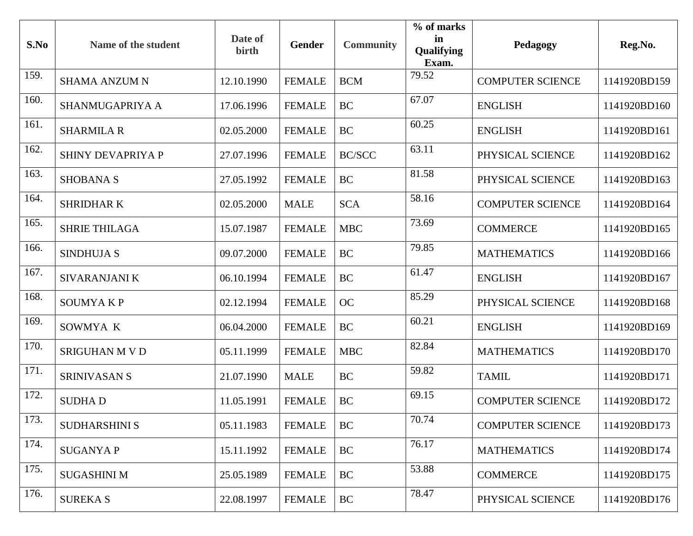| S.No | Name of the student      | Date of<br>birth | <b>Gender</b> | <b>Community</b> | % of marks<br>in<br>Qualifying<br>Exam. | Pedagogy                | Reg.No.      |
|------|--------------------------|------------------|---------------|------------------|-----------------------------------------|-------------------------|--------------|
| 159. | <b>SHAMA ANZUM N</b>     | 12.10.1990       | <b>FEMALE</b> | <b>BCM</b>       | 79.52                                   | <b>COMPUTER SCIENCE</b> | 1141920BD159 |
| 160. | SHANMUGAPRIYA A          | 17.06.1996       | <b>FEMALE</b> | <b>BC</b>        | 67.07                                   | <b>ENGLISH</b>          | 1141920BD160 |
| 161. | <b>SHARMILA R</b>        | 02.05.2000       | <b>FEMALE</b> | <b>BC</b>        | 60.25                                   | <b>ENGLISH</b>          | 1141920BD161 |
| 162. | <b>SHINY DEVAPRIYA P</b> | 27.07.1996       | <b>FEMALE</b> | <b>BC/SCC</b>    | 63.11                                   | PHYSICAL SCIENCE        | 1141920BD162 |
| 163. | <b>SHOBANA S</b>         | 27.05.1992       | <b>FEMALE</b> | <b>BC</b>        | 81.58                                   | PHYSICAL SCIENCE        | 1141920BD163 |
| 164. | <b>SHRIDHARK</b>         | 02.05.2000       | <b>MALE</b>   | <b>SCA</b>       | 58.16                                   | <b>COMPUTER SCIENCE</b> | 1141920BD164 |
| 165. | <b>SHRIE THILAGA</b>     | 15.07.1987       | <b>FEMALE</b> | <b>MBC</b>       | 73.69                                   | <b>COMMERCE</b>         | 1141920BD165 |
| 166. | <b>SINDHUJA S</b>        | 09.07.2000       | <b>FEMALE</b> | <b>BC</b>        | 79.85                                   | <b>MATHEMATICS</b>      | 1141920BD166 |
| 167. | SIVARANJANI K            | 06.10.1994       | <b>FEMALE</b> | <b>BC</b>        | 61.47                                   | <b>ENGLISH</b>          | 1141920BD167 |
| 168. | <b>SOUMYAKP</b>          | 02.12.1994       | <b>FEMALE</b> | <b>OC</b>        | 85.29                                   | PHYSICAL SCIENCE        | 1141920BD168 |
| 169. | SOWMYA K                 | 06.04.2000       | <b>FEMALE</b> | <b>BC</b>        | 60.21                                   | <b>ENGLISH</b>          | 1141920BD169 |
| 170. | <b>SRIGUHAN M V D</b>    | 05.11.1999       | <b>FEMALE</b> | <b>MBC</b>       | 82.84                                   | <b>MATHEMATICS</b>      | 1141920BD170 |
| 171. | <b>SRINIVASAN S</b>      | 21.07.1990       | <b>MALE</b>   | <b>BC</b>        | 59.82                                   | <b>TAMIL</b>            | 1141920BD171 |
| 172. | <b>SUDHAD</b>            | 11.05.1991       | <b>FEMALE</b> | <b>BC</b>        | 69.15                                   | <b>COMPUTER SCIENCE</b> | 1141920BD172 |
| 173. | <b>SUDHARSHINI S</b>     | 05.11.1983       | <b>FEMALE</b> | <b>BC</b>        | 70.74                                   | <b>COMPUTER SCIENCE</b> | 1141920BD173 |
| 174. | <b>SUGANYAP</b>          | 15.11.1992       | <b>FEMALE</b> | <b>BC</b>        | 76.17                                   | <b>MATHEMATICS</b>      | 1141920BD174 |
| 175. | <b>SUGASHINI M</b>       | 25.05.1989       | <b>FEMALE</b> | <b>BC</b>        | 53.88                                   | <b>COMMERCE</b>         | 1141920BD175 |
| 176. | <b>SUREKA S</b>          | 22.08.1997       | <b>FEMALE</b> | <b>BC</b>        | 78.47                                   | PHYSICAL SCIENCE        | 1141920BD176 |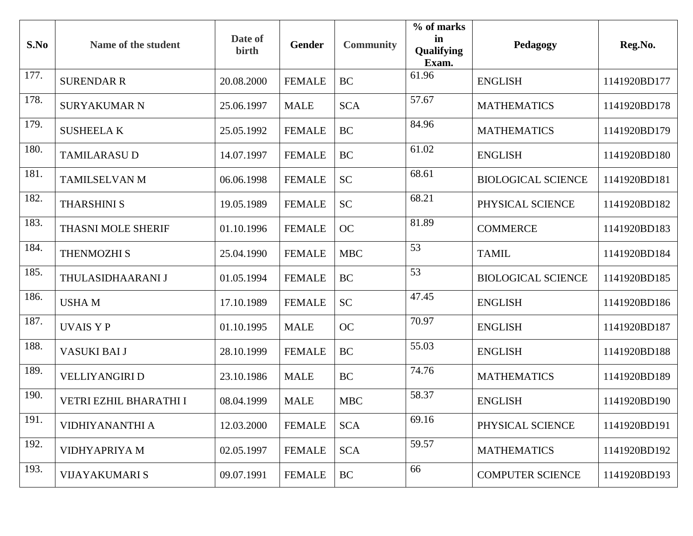| S.No | Name of the student    | Date of<br>birth | <b>Gender</b> | <b>Community</b> | % of marks<br>in<br>Qualifying<br>Exam. | Pedagogy                  | Reg.No.      |
|------|------------------------|------------------|---------------|------------------|-----------------------------------------|---------------------------|--------------|
| 177. | <b>SURENDAR R</b>      | 20.08.2000       | <b>FEMALE</b> | <b>BC</b>        | 61.96                                   | <b>ENGLISH</b>            | 1141920BD177 |
| 178. | <b>SURYAKUMAR N</b>    | 25.06.1997       | <b>MALE</b>   | <b>SCA</b>       | 57.67                                   | <b>MATHEMATICS</b>        | 1141920BD178 |
| 179. | <b>SUSHEELAK</b>       | 25.05.1992       | <b>FEMALE</b> | <b>BC</b>        | 84.96                                   | <b>MATHEMATICS</b>        | 1141920BD179 |
| 180. | <b>TAMILARASU D</b>    | 14.07.1997       | <b>FEMALE</b> | <b>BC</b>        | 61.02                                   | <b>ENGLISH</b>            | 1141920BD180 |
| 181. | TAMILSELVAN M          | 06.06.1998       | <b>FEMALE</b> | <b>SC</b>        | 68.61                                   | <b>BIOLOGICAL SCIENCE</b> | 1141920BD181 |
| 182. | <b>THARSHINI S</b>     | 19.05.1989       | <b>FEMALE</b> | <b>SC</b>        | 68.21                                   | PHYSICAL SCIENCE          | 1141920BD182 |
| 183. | THASNI MOLE SHERIF     | 01.10.1996       | <b>FEMALE</b> | <b>OC</b>        | 81.89                                   | <b>COMMERCE</b>           | 1141920BD183 |
| 184. | <b>THENMOZHI S</b>     | 25.04.1990       | <b>FEMALE</b> | <b>MBC</b>       | 53                                      | <b>TAMIL</b>              | 1141920BD184 |
| 185. | THULASIDHAARANI J      | 01.05.1994       | <b>FEMALE</b> | <b>BC</b>        | 53                                      | <b>BIOLOGICAL SCIENCE</b> | 1141920BD185 |
| 186. | <b>USHAM</b>           | 17.10.1989       | <b>FEMALE</b> | <b>SC</b>        | 47.45                                   | <b>ENGLISH</b>            | 1141920BD186 |
| 187. | <b>UVAIS Y P</b>       | 01.10.1995       | <b>MALE</b>   | <b>OC</b>        | 70.97                                   | <b>ENGLISH</b>            | 1141920BD187 |
| 188. | VASUKI BAI J           | 28.10.1999       | <b>FEMALE</b> | <b>BC</b>        | 55.03                                   | <b>ENGLISH</b>            | 1141920BD188 |
| 189. | <b>VELLIYANGIRI D</b>  | 23.10.1986       | <b>MALE</b>   | <b>BC</b>        | 74.76                                   | <b>MATHEMATICS</b>        | 1141920BD189 |
| 190. | VETRI EZHIL BHARATHI I | 08.04.1999       | <b>MALE</b>   | <b>MBC</b>       | 58.37                                   | <b>ENGLISH</b>            | 1141920BD190 |
| 191. | <b>VIDHIYANANTHI A</b> | 12.03.2000       | <b>FEMALE</b> | <b>SCA</b>       | 69.16                                   | PHYSICAL SCIENCE          | 1141920BD191 |
| 192. | VIDHYAPRIYA M          | 02.05.1997       | <b>FEMALE</b> | <b>SCA</b>       | 59.57                                   | <b>MATHEMATICS</b>        | 1141920BD192 |
| 193. | <b>VIJAYAKUMARI S</b>  | 09.07.1991       | <b>FEMALE</b> | <b>BC</b>        | 66                                      | <b>COMPUTER SCIENCE</b>   | 1141920BD193 |